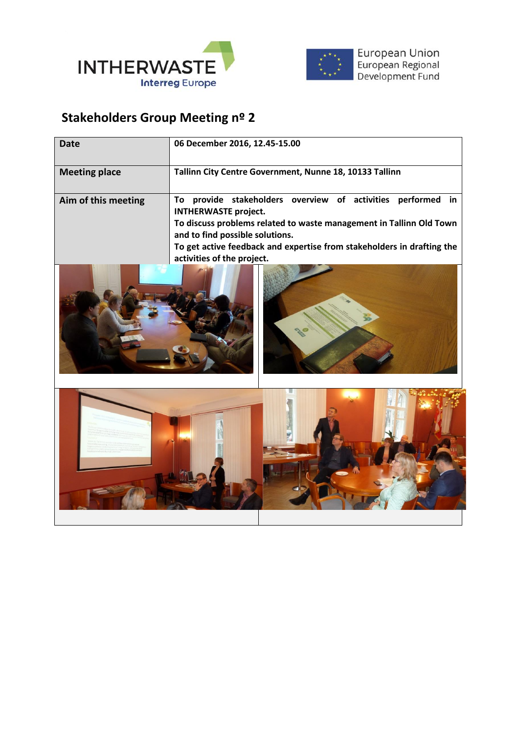



## **Stakeholders Group Meeting nº 2**

| Date                 | 06 December 2016, 12.45-15.00                                                                                                                                                                                                                                                                                         |
|----------------------|-----------------------------------------------------------------------------------------------------------------------------------------------------------------------------------------------------------------------------------------------------------------------------------------------------------------------|
| <b>Meeting place</b> | Tallinn City Centre Government, Nunne 18, 10133 Tallinn                                                                                                                                                                                                                                                               |
| Aim of this meeting  | provide stakeholders overview of<br>activities<br>performed in<br>To<br><b>INTHERWASTE project.</b><br>To discuss problems related to waste management in Tallinn Old Town<br>and to find possible solutions.<br>To get active feedback and expertise from stakeholders in drafting the<br>activities of the project. |